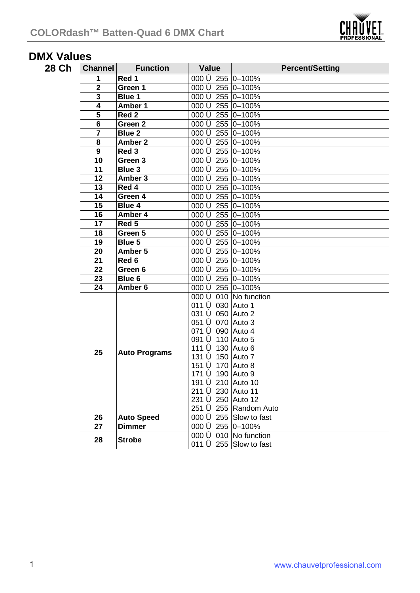

## **DMX Values**

| 28 Ch | Channel                 | <b>Function</b>      | Value                                | <b>Percent/Setting</b>          |
|-------|-------------------------|----------------------|--------------------------------------|---------------------------------|
|       | 1                       | Red 1                | 000 $\bigcirc$ 255 0-100%            |                                 |
|       | $\overline{2}$          | Green 1              | 000 6 255 0-100%                     |                                 |
|       | $\overline{\mathbf{3}}$ | Blue 1               | 000 6 255 0-100%                     |                                 |
|       | 4                       | Amber 1              | 000 6 255 0-100%                     |                                 |
|       | 5                       | Red <sub>2</sub>     | 000 6 255 0-100%                     |                                 |
|       | 6                       | Green <sub>2</sub>   | 000 6 255 0-100%                     |                                 |
|       | 7                       | Blue 2               | 000 6 255 0-100%                     |                                 |
|       | 8                       | Amber 2              | 000 6 255 0-100%                     |                                 |
|       | 9                       | Red <sub>3</sub>     | 000 6 255 0-100%                     |                                 |
|       | $\overline{10}$         | Green 3              | 000 6 255 0-100%                     |                                 |
|       | 11                      | Blue 3               | 000 6 255 0-100%                     |                                 |
|       | 12                      | Amber 3              | 000 6 255 0-100%                     |                                 |
|       | 13                      | Red 4                | 000 6 255 0-100%                     |                                 |
|       | $\overline{14}$         | Green 4              | 000 6 255 0-100%                     |                                 |
|       | 15                      | Blue 4               | 000 6 255 0-100%                     |                                 |
|       | 16                      | Amber 4              | 000 6 255 0-100%                     |                                 |
|       | 17                      | Red 5                | 000 6 255 0-100%                     |                                 |
|       | 18                      | Green 5              | 000 6 255 0-100%                     |                                 |
|       | $\overline{19}$         | Blue 5               | 000 6 255 0-100%                     |                                 |
|       | 20                      | Amber 5              | 000 6 255 0-100%                     |                                 |
|       | 21                      | Red 6                | 000 6 255 0-100%                     |                                 |
|       | $\overline{22}$         | Green 6              | 000 6 255 0-100%                     |                                 |
|       | 23                      | Blue 6               | 000 6 255 0-100%                     |                                 |
|       | $\overline{24}$         | Amber 6              | 000 6 255 0-100%                     |                                 |
|       |                         | <b>Auto Programs</b> | 000 $\bigcirc$ 010 No function       |                                 |
|       |                         |                      | 011 6 030 Auto 1                     |                                 |
|       |                         |                      | 031 6 050 Auto 2                     |                                 |
|       |                         |                      | 051 6 070 Auto 3                     |                                 |
|       |                         |                      | 071 6 090 Auto 4                     |                                 |
|       |                         |                      | 091 6 110 Auto 5<br>111 6 130 Auto 6 |                                 |
|       | 25                      |                      | 131 6 150 Auto 7                     |                                 |
|       |                         |                      | 151 6 170 Auto 8                     |                                 |
|       |                         |                      | 171 6 190 Auto 9                     |                                 |
|       |                         |                      | 191 6 210 Auto 10                    |                                 |
|       |                         |                      | 211 6 230 Auto 11                    |                                 |
|       |                         |                      | 231 6 250 Auto 12                    |                                 |
|       |                         |                      |                                      | 251 6 255 Random Auto           |
|       | 26                      | <b>Auto Speed</b>    |                                      | 000 $\bigcirc$ 255 Slow to fast |
|       | 27                      | <b>Dimmer</b>        | 000 6 255 0-100%                     |                                 |
|       | 28                      | <b>Strobe</b>        |                                      | 000 $\bigcirc$ 010 No function  |
|       |                         |                      |                                      | 011 $\bigcirc$ 255 Slow to fast |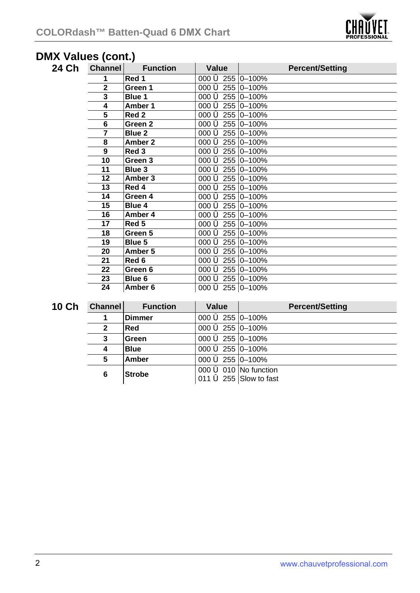

## **DMX Values (cont.)**

| 24 Ch | <b>Channel</b> | <b>Function</b> | Value                                  | <b>Percent/Setting</b> |
|-------|----------------|-----------------|----------------------------------------|------------------------|
|       | 1              | Red 1           | 000 6 255 0 - 100%                     |                        |
|       | $\mathbf{2}$   | Green 1         | 000 $\bigcirc$ 255 0-100%              |                        |
|       | 3              | Blue 1          | 000 $\bigcirc$ 255 0-100%              |                        |
|       | 4              | Amber 1         | 000 $\bigcirc$ 255 0-100%              |                        |
|       | 5              | Red 2           | 000 $\bigcirc$ 255 0-100%              |                        |
|       | 6              | Green 2         | 000 $\bigcirc$ 255 0-100%              |                        |
|       | 7              | Blue 2          | 000 $\bigcirc$ 255 0-100%              |                        |
|       | 8              | Amber 2         | 000 $\bigcirc$ 255 0-100%              |                        |
|       | 9              | Red 3           | 000 $\bigcirc$ 255 0-100%              |                        |
|       | 10             | Green 3         | 000 $\bigcirc$ 255 0-100%              |                        |
|       | 11             | Blue 3          | 000 $\bigcirc$ 255 0-100%              |                        |
|       | 12             | Amber 3         | 000 $\bigcirc$ 255 0-100%              |                        |
|       | 13             | Red 4           | 000 $\bigcirc$ 255 0-100%              |                        |
|       | 14             | Green 4         | 000 6 255 0 - 100%                     |                        |
|       | 15             | Blue 4          | 000 $\bigcirc$ 255 0-100%              |                        |
|       | 16             | Amber 4         | 000 $\bigcirc$ 255 0-100%              |                        |
|       | 17             | Red 5           | 000 $\bigcirc$ 255 0-100%              |                        |
|       | 18             | Green 5         | 000 $\bigcirc$ 255 0-100%              |                        |
|       | 19             | Blue 5          | 000 $\bigcirc$ 255 0-100%              |                        |
|       | 20             | Amber 5         | 000 6 255 0 - 100%                     |                        |
|       | 21             | Red 6           | 000 $\bigcirc$ 255 0-100%              |                        |
|       | 22             | Green 6         | 000 $\bigcirc$ 255 0-100%              |                        |
|       | 23             | Blue 6          | 000 $\bigotimes$ 255 $\bigotimes$ 100% |                        |

| <b>10 Ch</b> | <b>Channel</b> | <b>Function</b> | Value                                                                  | <b>Percent/Setting</b> |
|--------------|----------------|-----------------|------------------------------------------------------------------------|------------------------|
|              |                | Dimmer          | 000 $\bigcirc$ 255 0-100%                                              |                        |
|              |                | Red             | 000 $\bigcirc$ 255 0-100%                                              |                        |
|              |                | Green           | 000 $\bigotimes$ 255 $\bigotimes$ 100%                                 |                        |
|              |                | <b>Blue</b>     | 000 $\bigcirc$ 255 0-100%                                              |                        |
|              | 5              | Amber           | 000 $\bigotimes$ 255 $\bigotimes$ 100%                                 |                        |
|              | 6              | <b>Strobe</b>   | 000 $\bigcirc$ 010 No function<br>011 $\dot{\bullet}$ 255 Slow to fast |                        |

**Amber 6** 000 ó 255 0–100%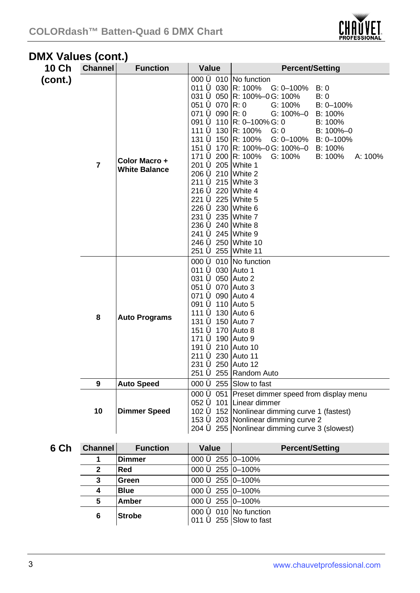

## **DMX Values (cont.)**

| 10 Ch   | <b>Channel</b>       | <b>Function</b>                | Value                                                                                                                                                                                                                                                                                                                                                                         | <b>Percent/Setting</b>                                                                                                                                                                                                                                                                                                                  |
|---------|----------------------|--------------------------------|-------------------------------------------------------------------------------------------------------------------------------------------------------------------------------------------------------------------------------------------------------------------------------------------------------------------------------------------------------------------------------|-----------------------------------------------------------------------------------------------------------------------------------------------------------------------------------------------------------------------------------------------------------------------------------------------------------------------------------------|
| (cont.) | 7                    | Color Macro +<br>White Balance | 011 6 030 R: 100%<br>051 $\bf{6}$ 070 R: 0<br>071 $\bigcirc$ 090 R: 0<br>111 6 130 R: 100%<br>131 6 150 R: 100%<br>171 6 200 R: 100%<br>201 6 205 White 1<br>206 6 210 White 2<br>211 6 215 White 3<br>216 6 220 White 4<br>221 6 225 White 5<br>226 6 230 White 6<br>231 6 235 White 7<br>236 6 240 White 8<br>241 6 245 White 9<br>246 6 250 White 10<br>251 6 255 White 11 | 000 $\bigcirc$ 010 No function<br>$G: 0-100\%$<br>B:0<br>031 6 050 R: 100%-0G: 100%<br>B: 0<br>$G: 100\%$<br>$B: 0 - 100\%$<br>G: 100%–0<br>B: 100%<br>091 6 110 R: 0–100% G: 0<br>$B: 100\%$<br>G: 0<br>B: 100%-0<br>G: 0-100%<br>$B: 0 - 100\%$<br>151 <b>ó</b> 170 R: 100%–0G: 100%–0<br>B: 100%<br>$G: 100\%$<br>B: 100%<br>A: 100% |
|         | 8                    | <b>Auto Programs</b>           | 011 6 030 Auto 1<br>031 6 050 Auto 2<br>051 6 070 Auto 3<br>071 6 090 Auto 4<br>091 6 110 Auto 5<br>111 <b>ó</b> 130 IAuto 6<br>131 6 150 Auto 7<br>151 <b>ó</b> 170   Auto 8<br>171 6 190 Auto 9<br>191 6 210 Auto 10<br>211 <b>ó</b> 230 Auto 11<br>231 6 250 Auto 12                                                                                                       | 000 $\bigcirc$ 010 No function<br>251 6 255 Random Auto                                                                                                                                                                                                                                                                                 |
|         | 9                    | <b>Auto Speed</b>              |                                                                                                                                                                                                                                                                                                                                                                               | 000 $\bigcirc$ 255 Slow to fast                                                                                                                                                                                                                                                                                                         |
|         | 10                   | <b>Dimmer Speed</b>            |                                                                                                                                                                                                                                                                                                                                                                               | 000 6 051 Preset dimmer speed from display menu<br>052 $\bigcirc$ 101 Linear dimmer<br>102 6 152 Nonlinear dimming curve 1 (fastest)<br>153 6 203 Nonlinear dimming curve 2<br>204 6 255 Nonlinear dimming curve 3 (slowest)                                                                                                            |
| 6 Ch    | <b>Channel</b>       | <b>Function</b>                | Value                                                                                                                                                                                                                                                                                                                                                                         | <b>Percent/Setting</b>                                                                                                                                                                                                                                                                                                                  |
|         | 1                    | Dimmer                         | 000 6 255 0-100%                                                                                                                                                                                                                                                                                                                                                              |                                                                                                                                                                                                                                                                                                                                         |
|         | $\ddot{\phantom{0}}$ | <b>DAN</b>                     | $000 \leq 255$ $\sqrt{200}$                                                                                                                                                                                                                                                                                                                                                   |                                                                                                                                                                                                                                                                                                                                         |

|   | <b>Dimmer</b> | 000 $\bigcirc$ 255 0-100%               |  |
|---|---------------|-----------------------------------------|--|
|   | Red           | 000 $\bigcirc$ 255 0-100%               |  |
|   | lGreen        | 000 $\bigcirc$ 255 0-100%               |  |
|   | <b>Blue</b>   | 000 $\bigcirc$ 255 0-100%               |  |
|   | Amber         | 000 $\bigotimes$ 255 $\bigotimes$ -100% |  |
| 6 | <b>Strobe</b> | 000 $\bigcirc$ 010 No function          |  |
|   |               | 011 $\bigcirc$ 255 Slow to fast         |  |